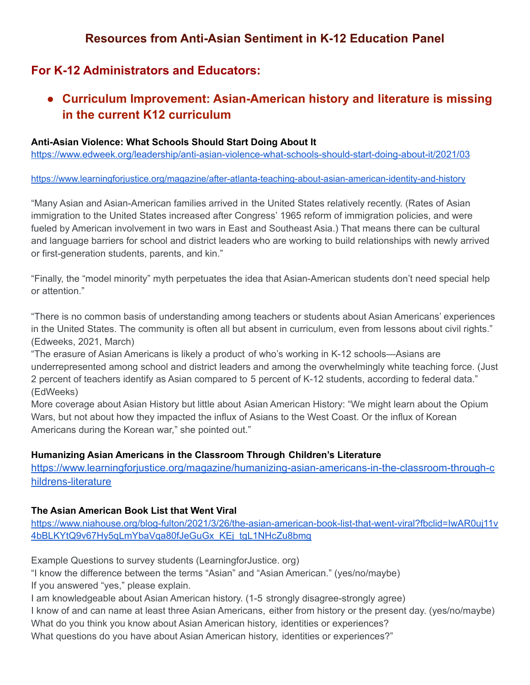# **Resources from Anti-Asian Sentiment in K-12 Education Panel**

# **For K-12 Administrators and Educators:**

**● Curriculum Improvement: Asian-American history and literature is missing in the current K12 curriculum**

#### **Anti-Asian Violence: What Schools Should Start Doing About It**

<https://www.edweek.org/leadership/anti-asian-violence-what-schools-should-start-doing-about-it/2021/03>

[https://www.learningforjustice.org/magazine/after-atlanta-teaching-about-asian-american-identity-and-history](https://www.learningforjustice.org/magazine/after-atlanta-teaching-about-asian-american-identity-and-history%5C)

"Many Asian and Asian-American families arrived in the United States relatively recently. (Rates of Asian immigration to the United States increased after Congress' 1965 reform of immigration policies, and were fueled by American involvement in two wars in East and Southeast Asia.) That means there can be cultural and language barriers for school and district leaders who are working to build relationships with newly arrived or first-generation students, parents, and kin."

"Finally, the "model minority" myth perpetuates the idea that Asian-American students don't need special help or attention."

"There is no common basis of understanding among teachers or students about Asian Americans' experiences in the United States. The community is often all but absent in curriculum, even from lessons about civil rights." (Edweeks, 2021, March)

"The erasure of Asian Americans is likely a product of who's working in K-12 schools—Asians are underrepresented among school and district leaders and among the overwhelmingly white teaching force. (Just 2 percent of teachers identify as Asian compared to 5 percent of K-12 students, according to federal data." (EdWeeks)

More coverage about Asian History but little about Asian American History: "We might learn about the Opium Wars, but not about how they impacted the influx of Asians to the West Coast. Or the influx of Korean Americans during the Korean war," she pointed out."

#### **Humanizing Asian Americans in the Classroom Through Children's Literature**

[https://www.learningforjustice.org/magazine/humanizing-asian-americans-in-the-classroom-through-c](https://nam02.safelinks.protection.outlook.com/?url=https%3A%2F%2Fwww.learningforjustice.org%2Fmagazine%2Fhumanizing-asian-americans-in-the-classroom-through-childrens-literature&data=04%7C01%7Cbrandy.jones%40gse.rutgers.edu%7C3babf83d560f42f7826e08d8f9f54af0%7Cb92d2b234d35447093ff69aca6632ffe%7C1%7C0%7C637534179198993512%7CUnknown%7CTWFpbGZsb3d8eyJWIjoiMC4wLjAwMDAiLCJQIjoiV2luMzIiLCJBTiI6Ik1haWwiLCJXVCI6Mn0%3D%7C1000&sdata=Mnz3%2FD%2FGJEUJgjWOzFQsAoCoCs0lW29Fr6L%2Bpymou6w%3D&reserved=0) [hildrens-literature](https://nam02.safelinks.protection.outlook.com/?url=https%3A%2F%2Fwww.learningforjustice.org%2Fmagazine%2Fhumanizing-asian-americans-in-the-classroom-through-childrens-literature&data=04%7C01%7Cbrandy.jones%40gse.rutgers.edu%7C3babf83d560f42f7826e08d8f9f54af0%7Cb92d2b234d35447093ff69aca6632ffe%7C1%7C0%7C637534179198993512%7CUnknown%7CTWFpbGZsb3d8eyJWIjoiMC4wLjAwMDAiLCJQIjoiV2luMzIiLCJBTiI6Ik1haWwiLCJXVCI6Mn0%3D%7C1000&sdata=Mnz3%2FD%2FGJEUJgjWOzFQsAoCoCs0lW29Fr6L%2Bpymou6w%3D&reserved=0)

#### **The Asian American Book List that Went Viral**

[https://www.niahouse.org/blog-fulton/2021/3/26/the-asian-american-book-list-that-went-viral?fbclid=IwAR0uj11v](https://www.niahouse.org/blog-fulton/2021/3/26/the-asian-american-book-list-that-went-viral?fbclid=IwAR0uj11v4bBLKYtQ9v67Hy5qLmYbaVqa80fJeGuGx_KEj_tgL1NHcZu8bmg) [4bBLKYtQ9v67Hy5qLmYbaVqa80fJeGuGx\\_KEj\\_tgL1NHcZu8bmg](https://www.niahouse.org/blog-fulton/2021/3/26/the-asian-american-book-list-that-went-viral?fbclid=IwAR0uj11v4bBLKYtQ9v67Hy5qLmYbaVqa80fJeGuGx_KEj_tgL1NHcZu8bmg)

Example Questions to survey students (LearningforJustice. org)

"I know the difference between the terms "Asian" and "Asian American." (yes/no/maybe) If you answered "yes," please explain.

I am knowledgeable about Asian American history. (1-5 strongly disagree-strongly agree)

I know of and can name at least three Asian Americans, either from history or the present day. (yes/no/maybe) What do you think you know about Asian American history, identities or experiences?

What questions do you have about Asian American history, identities or experiences?"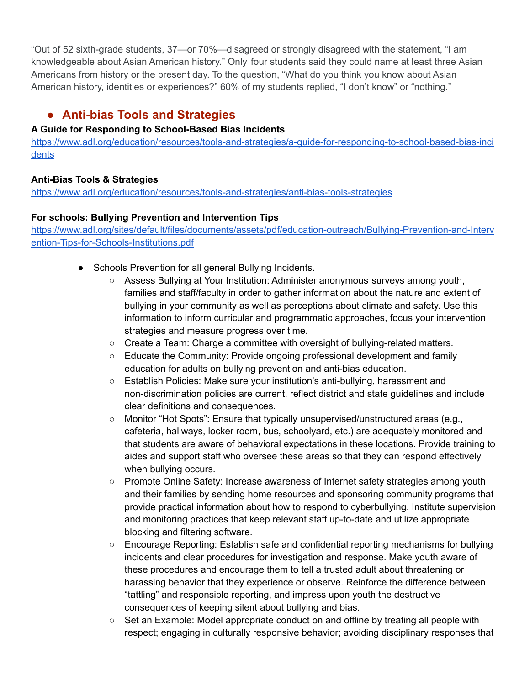"Out of 52 sixth-grade students, 37—or 70%—disagreed or strongly disagreed with the statement, "I am knowledgeable about Asian American history." Only four students said they could name at least three Asian Americans from history or the present day. To the question, "What do you think you know about Asian American history, identities or experiences?" 60% of my students replied, "I don't know" or "nothing."

# **● Anti-bias Tools and Strategies**

#### **A Guide for Responding to School-Based Bias Incidents**

[https://www.adl.org/education/resources/tools-and-strategies/a-guide-for-responding-to-school-based-bias-inci](https://www.adl.org/education/resources/tools-and-strategies/a-guide-for-responding-to-school-based-bias-incidents) [dents](https://www.adl.org/education/resources/tools-and-strategies/a-guide-for-responding-to-school-based-bias-incidents)

### **Anti-Bias Tools & Strategies**

<https://www.adl.org/education/resources/tools-and-strategies/anti-bias-tools-strategies>

#### **For schools: Bullying Prevention and Intervention Tips**

[https://www.adl.org/sites/default/files/documents/assets/pdf/education-outreach/Bullying-Prevention-and-Interv](https://www.adl.org/sites/default/files/documents/assets/pdf/education-outreach/Bullying-Prevention-and-Intervention-Tips-for-Schools-Institutions.pdf) [ention-Tips-for-Schools-Institutions.pdf](https://www.adl.org/sites/default/files/documents/assets/pdf/education-outreach/Bullying-Prevention-and-Intervention-Tips-for-Schools-Institutions.pdf)

- Schools Prevention for all general Bullying Incidents.
	- Assess Bullying at Your Institution: Administer anonymous surveys among youth, families and staff/faculty in order to gather information about the nature and extent of bullying in your community as well as perceptions about climate and safety. Use this information to inform curricular and programmatic approaches, focus your intervention strategies and measure progress over time.
	- Create a Team: Charge a committee with oversight of bullying-related matters.
	- Educate the Community: Provide ongoing professional development and family education for adults on bullying prevention and anti-bias education.
	- Establish Policies: Make sure your institution's anti-bullying, harassment and non-discrimination policies are current, reflect district and state guidelines and include clear definitions and consequences.
	- Monitor "Hot Spots": Ensure that typically unsupervised/unstructured areas (e.g., cafeteria, hallways, locker room, bus, schoolyard, etc.) are adequately monitored and that students are aware of behavioral expectations in these locations. Provide training to aides and support staff who oversee these areas so that they can respond effectively when bullying occurs.
	- Promote Online Safety: Increase awareness of Internet safety strategies among youth and their families by sending home resources and sponsoring community programs that provide practical information about how to respond to cyberbullying. Institute supervision and monitoring practices that keep relevant staff up-to-date and utilize appropriate blocking and filtering software.
	- Encourage Reporting: Establish safe and confidential reporting mechanisms for bullying incidents and clear procedures for investigation and response. Make youth aware of these procedures and encourage them to tell a trusted adult about threatening or harassing behavior that they experience or observe. Reinforce the difference between "tattling" and responsible reporting, and impress upon youth the destructive consequences of keeping silent about bullying and bias.
	- $\circ$  Set an Example: Model appropriate conduct on and offline by treating all people with respect; engaging in culturally responsive behavior; avoiding disciplinary responses that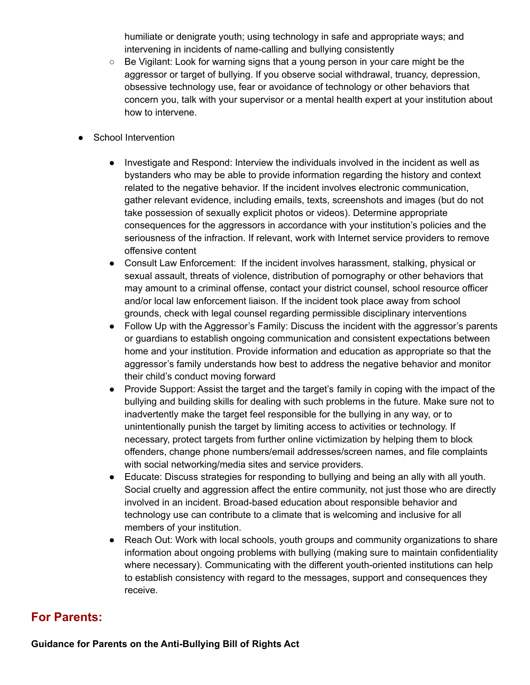humiliate or denigrate youth; using technology in safe and appropriate ways; and intervening in incidents of name-calling and bullying consistently

- Be Vigilant: Look for warning signs that a young person in your care might be the aggressor or target of bullying. If you observe social withdrawal, truancy, depression, obsessive technology use, fear or avoidance of technology or other behaviors that concern you, talk with your supervisor or a mental health expert at your institution about how to intervene.
- School Intervention
	- Investigate and Respond: Interview the individuals involved in the incident as well as bystanders who may be able to provide information regarding the history and context related to the negative behavior. If the incident involves electronic communication, gather relevant evidence, including emails, texts, screenshots and images (but do not take possession of sexually explicit photos or videos). Determine appropriate consequences for the aggressors in accordance with your institution's policies and the seriousness of the infraction. If relevant, work with Internet service providers to remove offensive content
	- Consult Law Enforcement: If the incident involves harassment, stalking, physical or sexual assault, threats of violence, distribution of pornography or other behaviors that may amount to a criminal offense, contact your district counsel, school resource officer and/or local law enforcement liaison. If the incident took place away from school grounds, check with legal counsel regarding permissible disciplinary interventions
	- Follow Up with the Aggressor's Family: Discuss the incident with the aggressor's parents or guardians to establish ongoing communication and consistent expectations between home and your institution. Provide information and education as appropriate so that the aggressor's family understands how best to address the negative behavior and monitor their child's conduct moving forward
	- Provide Support: Assist the target and the target's family in coping with the impact of the bullying and building skills for dealing with such problems in the future. Make sure not to inadvertently make the target feel responsible for the bullying in any way, or to unintentionally punish the target by limiting access to activities or technology. If necessary, protect targets from further online victimization by helping them to block offenders, change phone numbers/email addresses/screen names, and file complaints with social networking/media sites and service providers.
	- Educate: Discuss strategies for responding to bullying and being an ally with all youth. Social cruelty and aggression affect the entire community, not just those who are directly involved in an incident. Broad-based education about responsible behavior and technology use can contribute to a climate that is welcoming and inclusive for all members of your institution.
	- Reach Out: Work with local schools, youth groups and community organizations to share information about ongoing problems with bullying (making sure to maintain confidentiality where necessary). Communicating with the different youth-oriented institutions can help to establish consistency with regard to the messages, support and consequences they receive.

### **For Parents:**

**Guidance for Parents on the Anti-Bullying Bill of Rights Act**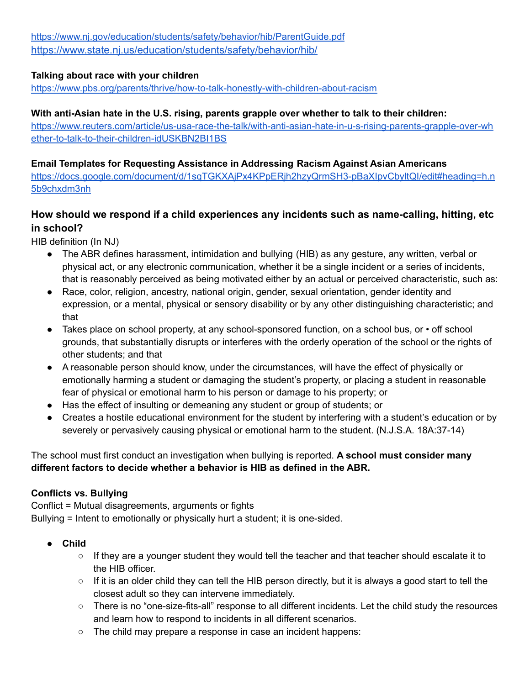<https://www.nj.gov/education/students/safety/behavior/hib/ParentGuide.pdf> [https://www.state.nj.us/education/students/safety/behavior/hib/](https://nam02.safelinks.protection.outlook.com/?url=https%3A%2F%2Fwww.state.nj.us%2Feducation%2Fstudents%2Fsafety%2Fbehavior%2Fhib%2F&data=04%7C01%7Cdake.zhang%40gse.rutgers.edu%7C2fad55f5f1894347021208d8f4516e00%7Cb92d2b234d35447093ff69aca6632ffe%7C1%7C0%7C637527977855575212%7CUnknown%7CTWFpbGZsb3d8eyJWIjoiMC4wLjAwMDAiLCJQIjoiV2luMzIiLCJBTiI6Ik1haWwiLCJXVCI6Mn0%3D%7C1000&sdata=8hI1X9tMTx8pBm3HhDCLVunGTFgyIt%2B3xeGXRof0D6Q%3D&reserved=0)

#### **Talking about race with your children**

<https://www.pbs.org/parents/thrive/how-to-talk-honestly-with-children-about-racism>

#### **With anti-Asian hate in the U.S. rising, parents grapple over whether to talk to their children:**

[https://www.reuters.com/article/us-usa-race-the-talk/with-anti-asian-hate-in-u-s-rising-parents-grapple-over-wh](https://www.reuters.com/article/us-usa-race-the-talk/with-anti-asian-hate-in-u-s-rising-parents-grapple-over-whether-to-talk-to-their-children-idUSKBN2BI1BS) [ether-to-talk-to-their-children-idUSKBN2BI1BS](https://www.reuters.com/article/us-usa-race-the-talk/with-anti-asian-hate-in-u-s-rising-parents-grapple-over-whether-to-talk-to-their-children-idUSKBN2BI1BS)

#### **Email Templates for Requesting Assistance in Addressing Racism Against Asian Americans**

[https://docs.google.com/document/d/1sqTGKXAjPx4KPpERjh2hzyQrmSH3-pBaXIpvCbyltQI/edit#heading=h.n](https://docs.google.com/document/d/1sqTGKXAjPx4KPpERjh2hzyQrmSH3-pBaXIpvCbyltQI/edit#heading=h.n5b9chxdm3nh) [5b9chxdm3nh](https://docs.google.com/document/d/1sqTGKXAjPx4KPpERjh2hzyQrmSH3-pBaXIpvCbyltQI/edit#heading=h.n5b9chxdm3nh)

### **How should we respond if a child experiences any incidents such as name-calling, hitting, etc in school?**

HIB definition (In NJ)

- The ABR defines harassment, intimidation and bullying (HIB) as any gesture, any written, verbal or physical act, or any electronic communication, whether it be a single incident or a series of incidents, that is reasonably perceived as being motivated either by an actual or perceived characteristic, such as:
- Race, color, religion, ancestry, national origin, gender, sexual orientation, gender identity and expression, or a mental, physical or sensory disability or by any other distinguishing characteristic; and that
- Takes place on school property, at any school-sponsored function, on a school bus, or off school grounds, that substantially disrupts or interferes with the orderly operation of the school or the rights of other students; and that
- A reasonable person should know, under the circumstances, will have the effect of physically or emotionally harming a student or damaging the student's property, or placing a student in reasonable fear of physical or emotional harm to his person or damage to his property; or
- Has the effect of insulting or demeaning any student or group of students; or
- Creates a hostile educational environment for the student by interfering with a student's education or by severely or pervasively causing physical or emotional harm to the student. (N.J.S.A. 18A:37-14)

#### The school must first conduct an investigation when bullying is reported. **A school must consider many different factors to decide whether a behavior is HIB as defined in the ABR.**

#### **Conflicts vs. Bullying**

Conflict = Mutual disagreements, arguments or fights Bullying = Intent to emotionally or physically hurt a student; it is one-sided.

- **● Child**
	- If they are a younger student they would tell the teacher and that teacher should escalate it to the HIB officer.
	- If it is an older child they can tell the HIB person directly, but it is always a good start to tell the closest adult so they can intervene immediately.
	- There is no "one-size-fits-all" response to all different incidents. Let the child study the resources and learn how to respond to incidents in all different scenarios.
	- The child may prepare a response in case an incident happens: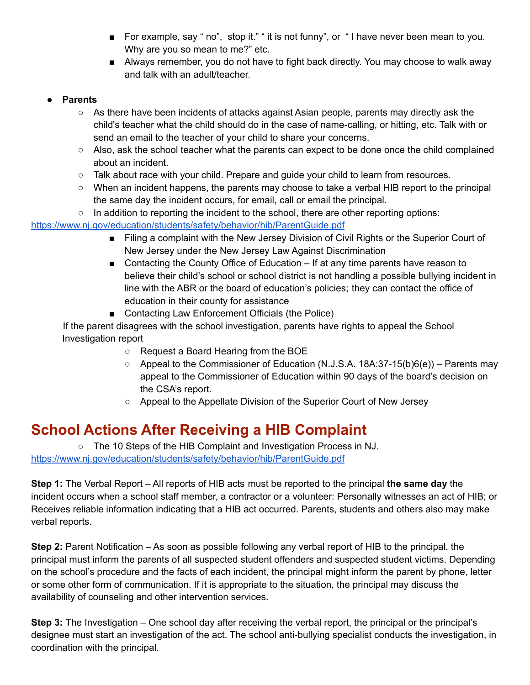- For example, say " no", stop it." " it is not funny", or " I have never been mean to you. Why are you so mean to me?" etc.
- Always remember, you do not have to fight back directly. You may choose to walk away and talk with an adult/teacher.

#### **● Parents**

- As there have been incidents of attacks against Asian people, parents may directly ask the child's teacher what the child should do in the case of name-calling, or hitting, etc. Talk with or send an email to the teacher of your child to share your concerns.
- $\circ$  Also, ask the school teacher what the parents can expect to be done once the child complained about an incident.
- Talk about race with your child. Prepare and guide your child to learn from resources.
- When an incident happens, the parents may choose to take a verbal HIB report to the principal the same day the incident occurs, for email, call or email the principal.
- $\circ$  In addition to reporting the incident to the school, there are other reporting options:

#### <https://www.nj.gov/education/students/safety/behavior/hib/ParentGuide.pdf>

- Filing a complaint with the New Jersey Division of Civil Rights or the Superior Court of New Jersey under the New Jersey Law Against Discrimination
- Contacting the County Office of Education If at any time parents have reason to believe their child's school or school district is not handling a possible bullying incident in line with the ABR or the board of education's policies; they can contact the office of education in their county for assistance
- Contacting Law Enforcement Officials (the Police)

If the parent disagrees with the school investigation, parents have rights to appeal the School Investigation report

- Request a Board Hearing from the BOE
- $\circ$  Appeal to the Commissioner of Education (N.J.S.A. 18A:37-15(b)6(e)) Parents may appeal to the Commissioner of Education within 90 days of the board's decision on the CSA's report.
- Appeal to the Appellate Division of the Superior Court of New Jersey

# **School Actions After Receiving a HIB Complaint**

○ The 10 Steps of the HIB Complaint and Investigation Process in NJ. <https://www.nj.gov/education/students/safety/behavior/hib/ParentGuide.pdf>

**Step 1:** The Verbal Report – All reports of HIB acts must be reported to the principal **the same day** the incident occurs when a school staff member, a contractor or a volunteer: Personally witnesses an act of HIB; or Receives reliable information indicating that a HIB act occurred. Parents, students and others also may make verbal reports.

**Step 2:** Parent Notification – As soon as possible following any verbal report of HIB to the principal, the principal must inform the parents of all suspected student offenders and suspected student victims. Depending on the school's procedure and the facts of each incident, the principal might inform the parent by phone, letter or some other form of communication. If it is appropriate to the situation, the principal may discuss the availability of counseling and other intervention services.

**Step 3:** The Investigation – One school day after receiving the verbal report, the principal or the principal's designee must start an investigation of the act. The school anti-bullying specialist conducts the investigation, in coordination with the principal.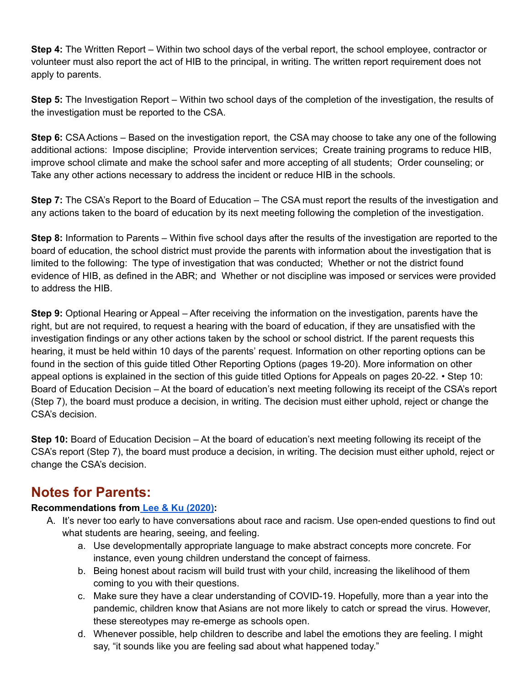**Step 4:** The Written Report – Within two school days of the verbal report, the school employee, contractor or volunteer must also report the act of HIB to the principal, in writing. The written report requirement does not apply to parents.

**Step 5:** The Investigation Report – Within two school days of the completion of the investigation, the results of the investigation must be reported to the CSA.

**Step 6:** CSA Actions – Based on the investigation report, the CSA may choose to take any one of the following additional actions: Impose discipline; Provide intervention services; Create training programs to reduce HIB, improve school climate and make the school safer and more accepting of all students; Order counseling; or Take any other actions necessary to address the incident or reduce HIB in the schools.

**Step 7:** The CSA's Report to the Board of Education – The CSA must report the results of the investigation and any actions taken to the board of education by its next meeting following the completion of the investigation.

**Step 8:** Information to Parents – Within five school days after the results of the investigation are reported to the board of education, the school district must provide the parents with information about the investigation that is limited to the following: The type of investigation that was conducted; Whether or not the district found evidence of HIB, as defined in the ABR; and Whether or not discipline was imposed or services were provided to address the HIB.

**Step 9:** Optional Hearing or Appeal – After receiving the information on the investigation, parents have the right, but are not required, to request a hearing with the board of education, if they are unsatisfied with the investigation findings or any other actions taken by the school or school district. If the parent requests this hearing, it must be held within 10 days of the parents' request. Information on other reporting options can be found in the section of this guide titled Other Reporting Options (pages 19-20). More information on other appeal options is explained in the section of this guide titled Options for Appeals on pages 20-22. • Step 10: Board of Education Decision – At the board of education's next meeting following its receipt of the CSA's report (Step 7), the board must produce a decision, in writing. The decision must either uphold, reject or change the CSA's decision.

**Step 10:** Board of Education Decision – At the board of education's next meeting following its receipt of the CSA's report (Step 7), the board must produce a decision, in writing. The decision must either uphold, reject or change the CSA's decision.

# **Notes for Parents:**

### **Recommendations from Lee & Ku [\(2020\)](https://issuu.com/joyceylee/docs/yps2020):**

- A. It's never too early to have conversations about race and racism. Use open-ended questions to find out what students are hearing, seeing, and feeling.
	- a. Use developmentally appropriate language to make abstract concepts more concrete. For instance, even young children understand the concept of fairness.
	- b. Being honest about racism will build trust with your child, increasing the likelihood of them coming to you with their questions.
	- c. Make sure they have a clear understanding of COVID-19. Hopefully, more than a year into the pandemic, children know that Asians are not more likely to catch or spread the virus. However, these stereotypes may re-emerge as schools open.
	- d. Whenever possible, help children to describe and label the emotions they are feeling. I might say, "it sounds like you are feeling sad about what happened today."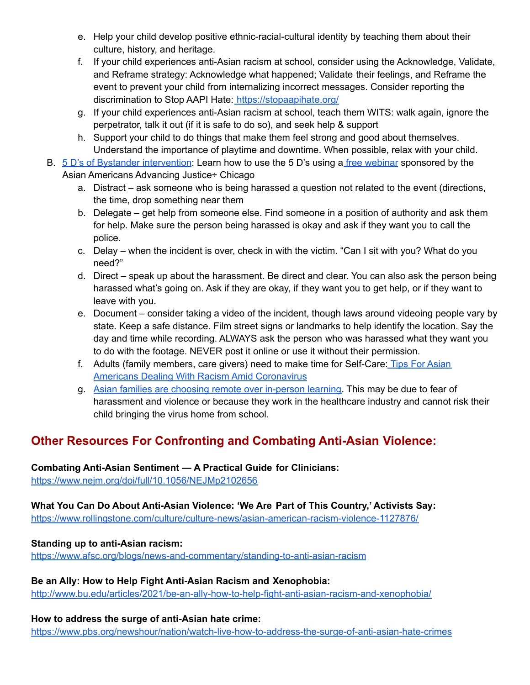- e. Help your child develop positive ethnic-racial-cultural identity by teaching them about their culture, history, and heritage.
- f. If your child experiences anti-Asian racism at school, consider using the Acknowledge, Validate, and Reframe strategy: Acknowledge what happened; Validate their feelings, and Reframe the event to prevent your child from internalizing incorrect messages. Consider reporting the discrimination to Stop AAPI Hate: <https://stopaapihate.org/>
- g. If your child experiences anti-Asian racism at school, teach them WITS: walk again, ignore the perpetrator, talk it out (if it is safe to do so), and seek help & support
- h. Support your child to do things that make them feel strong and good about themselves. Understand the importance of playtime and downtime. When possible, relax with your child.
- B. 5 D's of Bystander [intervention](https://www.ihollaback.org/app/uploads/2016/11/Show-Up_CUPxHollaback.pdf): Learn how to use the 5 D's using a free [webinar](https://www.advancingjustice-chicago.org/what-we-do/bystander-intervention-trainings/?fbclid=IwAR1CD1NAuPOxrMuYT02CQmLyiGfPfN8amcoHp_WcN1jAg3U6YfVvKI6pwkM) sponsored by the Asian Americans Advancing Justice÷ Chicago
	- a. Distract ask someone who is being harassed a question not related to the event (directions, the time, drop something near them
	- b. Delegate get help from someone else. Find someone in a position of authority and ask them for help. Make sure the person being harassed is okay and ask if they want you to call the police.
	- c. Delay when the incident is over, check in with the victim. "Can I sit with you? What do you need?"
	- d. Direct speak up about the harassment. Be direct and clear. You can also ask the person being harassed what's going on. Ask if they are okay, if they want you to get help, or if they want to leave with you.
	- e. Document consider taking a video of the incident, though laws around videoing people vary by state. Keep a safe distance. Film street signs or landmarks to help identify the location. Say the day and time while recording. ALWAYS ask the person who was harassed what they want you to do with the footage. NEVER post it online or use it without their permission.
	- f. Adults (family members, care givers) need to make time for Self-Care: Tips For [Asian](https://www.huffpost.com/entry/self-care-advice-asian-americans_l_5e83a656c5b6a1bb764f0e45) Americans Dealing With Racism Amid [Coronavirus](https://www.huffpost.com/entry/self-care-advice-asian-americans_l_5e83a656c5b6a1bb764f0e45)
	- g. Asian families are choosing remote over [in-person](https://www.seattletimes.com/nation-world/as-schools-reopen-asian-american-students-are-missing-from-classrooms/) learning. This may be due to fear of harassment and violence or because they work in the healthcare industry and cannot risk their child bringing the virus home from school.

# **Other Resources For Confronting and Combating Anti-Asian Violence:**

### **Combating Anti-Asian Sentiment — A Practical Guide for Clinicians:**

<https://www.nejm.org/doi/full/10.1056/NEJMp2102656>

**What You Can Do About Anti-Asian Violence: 'We Are Part of This Country,' Activists Say:**

<https://www.rollingstone.com/culture/culture-news/asian-american-racism-violence-1127876/>

#### **Standing up to anti-Asian racism:**

<https://www.afsc.org/blogs/news-and-commentary/standing-to-anti-asian-racism>

### **Be an Ally: How to Help Fight Anti-Asian Racism and Xenophobia:**

<http://www.bu.edu/articles/2021/be-an-ally-how-to-help-fight-anti-asian-racism-and-xenophobia/>

#### **How to address the surge of anti-Asian hate crime:**

<https://www.pbs.org/newshour/nation/watch-live-how-to-address-the-surge-of-anti-asian-hate-crimes>